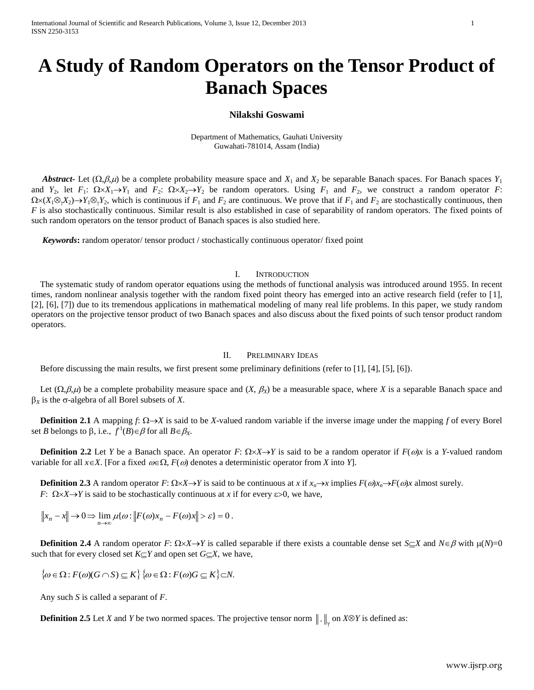# **A Study of Random Operators on the Tensor Product of Banach Spaces**

# **Nilakshi Goswami**

Department of Mathematics, Gauhati University Guwahati-781014, Assam (India)

*Abstract***-** Let  $(\Omega, \beta, \mu)$  be a complete probability measure space and  $X_1$  and  $X_2$  be separable Banach spaces. For Banach spaces  $Y_1$ and  $Y_2$ , let  $F_1: \Omega \times X_1 \to Y_1$  and  $F_2: \Omega \times X_2 \to Y_2$  be random operators. Using  $F_1$  and  $F_2$ , we construct a random operator  $F$ :  $\Omega \times (X_1 \otimes Y_2) \to Y_1 \otimes Y_2$ , which is continuous if  $F_1$  and  $F_2$  are continuous. We prove that if  $F_1$  and  $F_2$  are stochastically continuous, then *F* is also stochastically continuous. Similar result is also established in case of separability of random operators. The fixed points of such random operators on the tensor product of Banach spaces is also studied here.

 *Keywords***:** random operator/ tensor product / stochastically continuous operator/ fixed point

# I. INTRODUCTION

 The systematic study of random operator equations using the methods of functional analysis was introduced around 1955. In recent times, random nonlinear analysis together with the random fixed point theory has emerged into an active research field (refer to [1], [2], [6], [7]) due to its tremendous applications in mathematical modeling of many real life problems. In this paper, we study random operators on the projective tensor product of two Banach spaces and also discuss about the fixed points of such tensor product random operators.

## II. PRELIMINARY IDEAS

Before discussing the main results, we first present some preliminary definitions (refer to [1], [4], [5], [6]).

Let  $(\Omega, \beta, \mu)$  be a complete probability measure space and  $(X, \beta_X)$  be a measurable space, where X is a separable Banach space and  $\beta_X$  is the  $\sigma$ -algebra of all Borel subsets of *X*.

**Definition 2.1** A mapping  $f: \Omega \rightarrow X$  is said to be *X*-valued random variable if the inverse image under the mapping *f* of every Borel set *B* belongs to  $\beta$ , i.e.,  $f^1(B) \in \beta$  for all  $B \in \beta_X$ .

 **Definition 2.2** Let *Y* be a Banach space. An operator *F*:  $\Omega \times X \rightarrow Y$  is said to be a random operator if  $F(\omega)x$  is a *Y*-valued random variable for all  $x \in X$ . [For a fixed  $\omega \in \Omega$ ,  $F(\omega)$  denotes a deterministic operator from *X* into *Y*].

 **Definition 2.3** A random operator *F*:  $\Omega \times X \to Y$  is said to be continuous at *x* if  $x_n \to x$  implies  $F(\omega)x_n \to F(\omega)x$  almost surely. *F*:  $\Omega \times X \rightarrow Y$  is said to be stochastically continuous at *x* if for every  $\varepsilon > 0$ , we have,

 $x_n - x \parallel \to 0 \implies \lim_{n \to \infty} \mu\{\omega : \Vert F(\omega)x_n - F(\omega)x \Vert > \varepsilon\} = 0.$ 

 **Definition 2.4** A random operator *F*:  $\Omega \times X \rightarrow Y$  is called separable if there exists a countable dense set  $S \subseteq X$  and  $N \in \beta$  with  $\mu(N)=0$ such that for every closed set  $K \subset Y$  and open set  $G \subset X$ , we have,

 $\{\omega \in \Omega : F(\omega)(G \cap S) \subseteq K\}$   $\{\omega \in \Omega : F(\omega)G \subseteq K\} \subset N$ .

Any such *S* is called a separant of *F*.

**Definition 2.5** Let *X* and *Y* be two normed spaces. The projective tensor norm  $\|\cdot\|_{\gamma}$  on *X*⊗*Y* is defined as: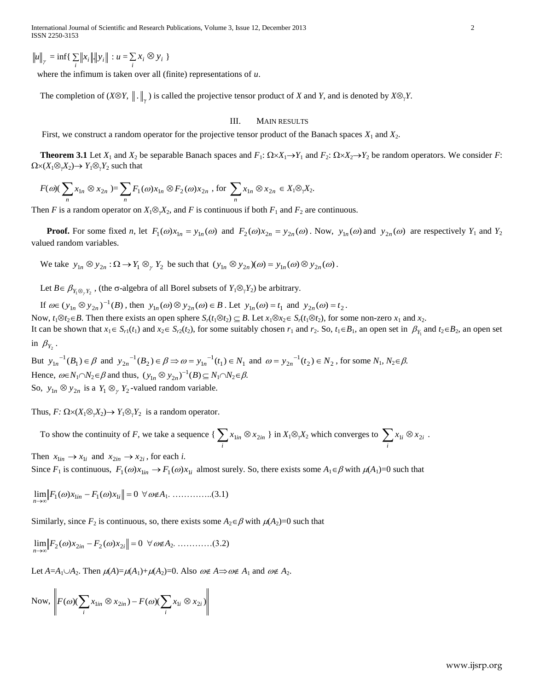$u\|_{\gamma} = \inf \{ \sum_{i} ||x_{i}|| ||y_{i}|| : u = \sum_{i} x_{i} \otimes y_{i} \}$ 

where the infimum is taken over all (finite) representations of *u*.

The completion of  $(X \otimes Y, \|.\|_{\gamma})$  is called the projective tensor product of *X* and *Y*, and is denoted by  $X \otimes_{\gamma} Y$ .

### III. MAIN RESULTS

First, we construct a random operator for the projective tensor product of the Banach spaces  $X_1$  and  $X_2$ .

 **Theorem 3.1** Let  $X_1$  and  $X_2$  be separable Banach spaces and  $F_1$ :  $\Omega \times X_1 \rightarrow Y_1$  and  $F_2$ :  $\Omega \times X_2 \rightarrow Y_2$  be random operators. We consider *F*:  $\Omega \times (X_1 \otimes_{\gamma} X_2) \rightarrow Y_1 \otimes_{\gamma} Y_2$  such that

$$
F(\omega)(\sum_{n} x_{1n} \otimes x_{2n}) = \sum_{n} F_1(\omega) x_{1n} \otimes F_2(\omega) x_{2n}, \text{ for } \sum_{n} x_{1n} \otimes x_{2n} \in X_1 \otimes_{\gamma} X_2.
$$

Then *F* is a random operator on  $X_1 \otimes_{\gamma} X_2$ , and *F* is continuous if both  $F_1$  and  $F_2$  are continuous.

**Proof.** For some fixed *n*, let  $F_1(\omega)x_{1n} = y_{1n}(\omega)$  and  $F_2(\omega)x_{2n} = y_{2n}(\omega)$ . Now,  $y_{1n}(\omega)$  and  $y_{2n}(\omega)$  are respectively  $Y_1$  and  $Y_2$ valued random variables.

We take  $y_{1n} \otimes y_{2n} : \Omega \to Y_1 \otimes_y Y_2$  be such that  $(y_{1n} \otimes y_{2n})(\omega) = y_{1n}(\omega) \otimes y_{2n}(\omega)$ .

Let *B*  $\in$   $\beta_{Y_1 \otimes_Y Y_2}$ , (the  $\sigma$ -algebra of all Borel subsets of  $Y_1 \otimes_Y Y_2$ ) be arbitrary.

If  $\omega \in (y_{1n} \otimes y_{2n})^{-1}(B)$ , then  $y_{1n}(\omega) \otimes y_{2n}(\omega) \in B$ . Let  $y_{1n}(\omega) = t_1$  and  $y_{2n}(\omega) = t_2$ .

Now,  $t_1 \otimes t_2 \in B$ . Then there exists an open sphere  $S_r(t_1 \otimes t_2) \subseteq B$ . Let  $x_1 \otimes x_2 \in S_r(t_1 \otimes t_2)$ , for some non-zero  $x_1$  and  $x_2$ .

It can be shown that  $x_1 \in S_{r1}(t_1)$  and  $x_2 \in S_{r2}(t_2)$ , for some suitably chosen  $r_1$  and  $r_2$ . So,  $t_1 \in B_1$ , an open set in  $\beta_{Y_1}$  and  $t_2 \in B_2$ , an open set in  $\beta_{Y_2}$ .

y<br>  $\sum_{i=1}^{n} y_i^2 + \sum_{j=1}^{n} y_j^2 + \sum_{j=1}^{n} y_j^2 + \sum_{j=1}^{n} y_j^2 + \sum_{j=1}^{n} y_j^2 + \sum_{j=1}^{n} y_j^2 + \sum_{j=1}^{n} y_j^2 + \sum_{j=1}^{n} y_j^2 + \sum_{j=1}^{n} y_j^2 + \sum_{j=1}^{n} y_j^2 + \sum_{j=1}^{n} y_j^2 + \sum_{j=1}^{n} y_j^2 + \sum_{j=1}^{n} y_j^2 + \sum_{j=1}^{n} y_j^2 + \sum_{j=1}$ But  $y_{1n}^{-1}(B_1) \in \beta$  and  $y_{2n}^{-1}(B_2) \in \beta \Rightarrow \omega = y_{1n}^{-1}(t_1) \in N_1$  and  $\omega = y_{2n}^{-1}(t_2) \in N_2$ , for some  $N_1, N_2 \in \beta$ . Hence,  $\omega \in N_1 \cap N_2 \in \beta$  and thus,  $(y_{1n} \otimes y_{2n})^{-1}(B) \subseteq N_1 \cap N_2 \in \beta$ . So,  $y_{1n} \otimes y_{2n}$  is a  $Y_1 \otimes_y Y_2$ -valued random variable.

Thus,  $F: \Omega \times (X_1 \otimes_{\gamma} X_2) \to Y_1 \otimes_{\gamma} Y_2$  is a random operator.

To show the continuity of *F*, we take a sequence { $\sum_{i} x_{\text{lin}} \otimes$  $x_{1in} \otimes x_{2in}$  } in  $X_1 \otimes_{\gamma} X_2$  which converges to  $\sum_i x_{1i} \otimes$  $x_{1i} \otimes x_{2i}$ . Then  $x_{1in} \rightarrow x_{1i}$  and  $x_{2in} \rightarrow x_{2i}$ , for each *i*.

Since  $F_1$  is continuous,  $F_1(\omega)x_{\text{lin}} \to F_1(\omega)x_{\text{li}}$  almost surely. So, there exists some  $A_1 \in \beta$  with  $\mu(A_1)=0$  such that

 $\lim_{n\to\infty}$   $\|F_1(\omega)x_{\text{lin}} - F_1(\omega)x_{\text{li}}\| = 0 \ \forall \omega \notin A_1$ . ................(3.1)

Similarly, since  $F_2$  is continuous, so, there exists some  $A_2 \in \beta$  with  $\mu(A_2)=0$  such that

lim <sup>2</sup> ( ) <sup>2</sup> <sup>2</sup> ( ) <sup>2</sup> 0 *in i n F x F x A*2. …………(3.2)

Let  $A = A_1 \cup A_2$ . Then  $\mu(A) = \mu(A_1) + \mu(A_2) = 0$ . Also  $\omega \notin A \implies \omega \notin A_1$  and  $\omega \notin A_2$ .

Now, 
$$
\left\| F(\omega)(\sum_{i} x_{1in} \otimes x_{2in}) - F(\omega)(\sum_{i} x_{1i} \otimes x_{2i}) \right\|
$$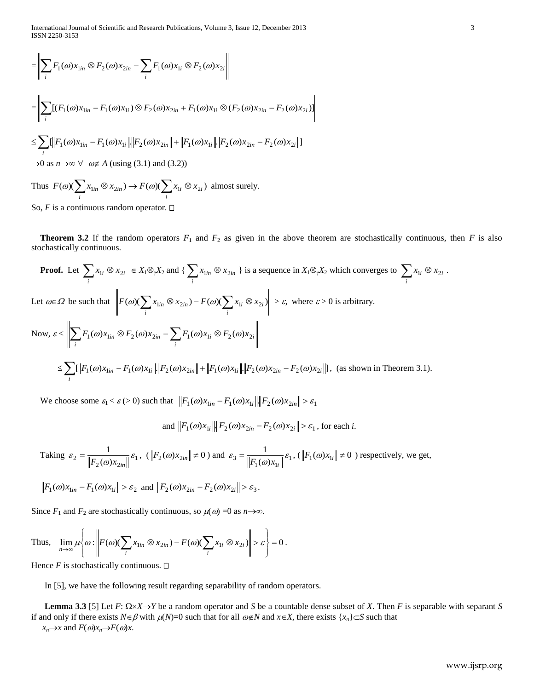International Journal of Scientific and Research Publications, Volume 3, Issue 12, December 2013 3 ISSN 2250-3153

$$
\begin{aligned}\n&= \left\| \sum_{i} F_{1}(\omega) x_{1in} \otimes F_{2}(\omega) x_{2in} - \sum_{i} F_{1}(\omega) x_{1i} \otimes F_{2}(\omega) x_{2i} \right\| \\
&= \left\| \sum_{i} \left[ (F_{1}(\omega) x_{1in} - F_{1}(\omega) x_{1i}) \otimes F_{2}(\omega) x_{2in} + F_{1}(\omega) x_{1i} \otimes (F_{2}(\omega) x_{2in} - F_{2}(\omega) x_{2i}) \right] \right\| \\
&\leq \sum_{i} \left[ \left\| F_{1}(\omega) x_{1in} - F_{1}(\omega) x_{1i} \right\| \cdot \left\| F_{2}(\omega) x_{2in} \right\| + \left\| F_{1}(\omega) x_{1i} \right\| \cdot \left\| F_{2}(\omega) x_{2in} - F_{2}(\omega) x_{2i} \right\| \right]\n\end{aligned}
$$

 $\rightarrow$ 0 as  $n \rightarrow \infty$   $\forall \omega \notin A$  (using (3.1) and (3.2))

Thus  $F(\omega)(\sum_{i} x_{1in} \otimes x_{2in}) \rightarrow F(\omega)(\sum_{i} x_{1i} \otimes x_{2i})$  $i \otimes \lambda_{2i}$ *i*  $F(\omega)(\sum x_{1in} \otimes x_{2in}) \rightarrow F(\omega)(\sum x_{1i} \otimes x_{2i})$  almost surely.

So,  $F$  is a continuous random operator.  $\Box$ 

**Theorem 3.2** If the random operators  $F_1$  and  $F_2$  as given in the above theorem are stochastically continuous, then *F* is also stochastically continuous.

**Proof.** Let 
$$
\sum_{i} x_{1i} \otimes x_{2i} \in X_1 \otimes_{\gamma} X_2
$$
 and  $\{\sum_{i} x_{1in} \otimes x_{2in}\}$  is a sequence in  $X_1 \otimes_{\gamma} X_2$  which converges to  $\sum_{i} x_{1i} \otimes x_{2i}$ .  
\nLet  $\omega \in \Omega$  be such that  $\left\| F(\omega) (\sum_{i} x_{1in} \otimes x_{2in}) - F(\omega) (\sum_{i} x_{1i} \otimes x_{2i}) \right\| > \varepsilon$ , where  $\varepsilon > 0$  is arbitrary.  
\nNow,  $\varepsilon < \left\| \sum_{i} F_1(\omega) x_{1in} \otimes F_2(\omega) x_{2in} - \sum_{i} F_1(\omega) x_{1i} \otimes F_2(\omega) x_{2i} \right\|$   
\n $\le \sum_{i} [\|F_1(\omega) x_{1in} - F_1(\omega) x_{1i}\| \|F_2(\omega) x_{2in}\| + \|F_1(\omega) x_{1i}\| \|F_2(\omega) x_{2in} - F_2(\omega) x_{2i}\|]$ , (as shown in Theorem 3.1).

We choose some  $\varepsilon_1 < \varepsilon$  (> 0) such that  $\left\| F_1(\omega) x_{1in} - F_1(\omega) x_{1i} \right\| \left\| F_2(\omega) x_{2in} \right\| > \varepsilon_1$ 

and 
$$
||F_1(\omega)x_{1i}|| ||F_2(\omega)x_{2in} - F_2(\omega)x_{2i}|| > \varepsilon_1
$$
, for each *i*.

Taking  $\varepsilon_2 = \frac{1}{\left\| F_2(\omega) x_{2in} \right\|} \varepsilon_1$  $\varepsilon_2 = \frac{1}{\left\| F_2(\omega) x_{2in} \right\|} \varepsilon$  $=\frac{1}{\left\|F_2(\omega)x_{2in}\right\|^2} \varepsilon_1, \quad (\left\|F_2(\omega)x_{2in}\right\| \neq 0) \text{ and } \varepsilon_3 = \frac{1}{\left\|F_1(\omega)x_{1i}\right\|^2} \varepsilon_1.$  $\varepsilon_3 = \frac{1}{\left\| F_1(\omega) x_{1i} \right\|} \varepsilon$  $=\frac{1}{\|\mathbf{F}_1(\mathbf{x})\| \|\mathbf{F}_1(\mathbf{y})\| \mathbf{x}_i} \neq 0$  ) respectively, we get,

$$
||F_1(\omega)x_{\text{lin}} - F_1(\omega)x_{\text{li}}|| > \varepsilon_2
$$
 and  $||F_2(\omega)x_{\text{2in}} - F_2(\omega)x_{\text{2i}}|| > \varepsilon_3$ .

Since  $F_1$  and  $F_2$  are stochastically continuous, so  $\mu(\omega) = 0$  as  $n \rightarrow \infty$ .

Thus, 
$$
\lim_{n \to \infty} \mu \left\{ \omega : \left\| F(\omega)(\sum_{i} x_{1in} \otimes x_{2in}) - F(\omega)(\sum_{i} x_{1i} \otimes x_{2i}) \right\| > \varepsilon \right\} = 0.
$$

Hence  $F$  is stochastically continuous.  $\Box$ 

In [5], we have the following result regarding separability of random operators.

**Lemma 3.3** [5] Let  $F: \Omega \times X \rightarrow Y$  be a random operator and *S* be a countable dense subset of *X*. Then *F* is separable with separant *S* if and only if there exists  $N \in \beta$  with  $\mu(N)=0$  such that for all  $\omega \notin N$  and  $x \in X$ , there exists  $\{x_n\} \subset S$  such that  $x_n \rightarrow x$  and  $F(\omega)x_n \rightarrow F(\omega)x$ .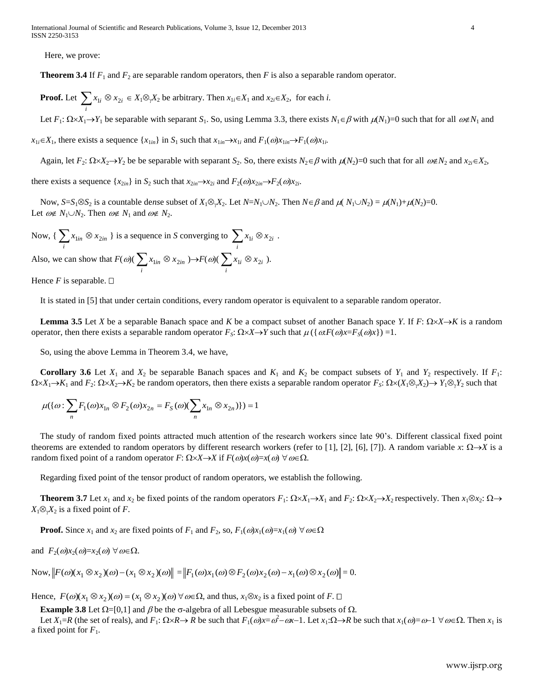Here, we prove:

 **Theorem 3.4** If *F*<sup>1</sup> and *F*<sup>2</sup> are separable random operators, then *F* is also a separable random operator.

**Proof.** Let  $\sum_i x_{1i} \otimes$  $x_{1i} \otimes x_{2i} \in X_1 \otimes Y_2$  be arbitrary. Then  $x_{1i} \in X_1$  and  $x_{2i} \in X_2$ , for each *i*.

Let  $F_1: \Omega \times X_1 \to Y_1$  be separable with separant  $S_1$ . So, using Lemma 3.3, there exists  $N_1 \in \beta$  with  $\mu(N_1)=0$  such that for all  $\omega \notin N_1$  and

 $x_{1i} \in X_1$ , there exists a sequence  $\{x_{1in}\}\$  in  $S_1$  such that  $x_{1in} \to x_{1i}$  and  $F_1(\omega)x_{1in} \to F_1(\omega)x_{1i}$ .

Again, let  $F_2$ :  $\Omega \times X_2 \to Y_2$  be be separable with separant  $S_2$ . So, there exists  $N_2 \in \beta$  with  $\mu(N_2)=0$  such that for all  $\omega \notin N_2$  and  $x_{2i} \in X_2$ ,

there exists a sequence  $\{x_{2in}\}\$ in  $S_2$  such that  $x_{2in} \rightarrow x_{2i}$  and  $F_2(\omega)x_{2in} \rightarrow F_2(\omega)x_{2i}$ .

Now,  $S=S_1\otimes S_2$  is a countable dense subset of  $X_1\otimes_{\gamma}X_2$ . Let  $N=N_1\cup N_2$ . Then  $N\in\beta$  and  $\mu(N_1\cup N_2)=\mu(N_1)+\mu(N_2)=0$ . Let  $\omega \notin N_1 \cup N_2$ . Then  $\omega \notin N_1$  and  $\omega \notin N_2$ .

Now,  $\{\sum_i x_{1in} \otimes$  $x_{\text{lin}} \otimes x_{\text{2in}}$  } is a sequence in *S* converging to  $\sum_{i} x_{\text{li}} \otimes$  $x_{1i} \otimes x_{2i}$ .

Also, we can show that  $F(\omega)$  ( $\sum_{i} x_{\text{lin}} \otimes$  $x_{\text{lin}} \otimes x_{\text{2in}} \rightarrow F(\omega) \left( \sum_{i} x_{\text{li}} \otimes$  $x_{1i} \otimes x_{2i}$ ).

Hence *F* is separable.  $\square$ 

It is stated in [5] that under certain conditions, every random operator is equivalent to a separable random operator.

**Lemma** 3.5 Let *X* be a separable Banach space and *K* be a compact subset of another Banach space *Y*. If  $F: \Omega \times X \rightarrow K$  is a random operator, then there exists a separable random operator  $F_S: \Omega \times X \to Y$  such that  $\mu(\{\omega F(\omega) x = F_S(\omega) x\}) = 1$ .

So, using the above Lemma in Theorem 3.4, we have,

**Corollary 3.6** Let  $X_1$  and  $X_2$  be separable Banach spaces and  $K_1$  and  $K_2$  be compact subsets of  $Y_1$  and  $Y_2$  respectively. If  $F_1$ :  $\Omega \times X_1 \to K_1$  and  $F_2: \Omega \times X_2 \to K_2$  be random operators, then there exists a separable random operator  $F_S: \Omega \times (X_1 \otimes_{\gamma} X_2) \to Y_1 \otimes_{\gamma} Y_2$  such that

$$
\mu(\{\omega \colon \sum_n F_1(\omega) x_{1n} \otimes F_2(\omega) x_{2n} = F_S(\omega) (\sum_n x_{1n} \otimes x_{2n})\}) = 1
$$

 The study of random fixed points attracted much attention of the research workers since late 90's. Different classical fixed point theorems are extended to random operators by different research workers (refer to [1], [2], [6], [7]). A random variable *x*:  $\Omega \rightarrow X$  is a random fixed point of a random operator *F*:  $\Omega \times X \rightarrow X$  if  $F(\omega)x(\omega) = x(\omega) \; \forall \omega \in \Omega$ .

Regarding fixed point of the tensor product of random operators, we establish the following.

**Theorem 3.7** Let  $x_1$  and  $x_2$  be fixed points of the random operators  $F_1: \Omega \times X_1 \to X_1$  and  $F_2: \Omega \times X_2 \to X_2$  respectively. Then  $x_1 \otimes x_2: \Omega \to X_2$  $X_1 \otimes_{\gamma} X_2$  is a fixed point of *F*.

 **Proof.** Since  $x_1$  and  $x_2$  are fixed points of  $F_1$  and  $F_2$ , so,  $F_1(\omega)x_1(\omega)=x_1(\omega) \,\forall \omega \in \Omega$ 

and  $F_2(\omega)x_2(\omega)=x_2(\omega) \ \forall \omega \in \Omega$ .

 $\text{Now, } \left\| F(\omega)(x_1 \otimes x_2)(\omega) - (x_1 \otimes x_2)(\omega) \right\| = \left\| F_1(\omega)x_1(\omega) \otimes F_2(\omega)x_2(\omega) - x_1(\omega) \otimes x_2(\omega) \right\| = 0.$ 

Hence,  $F(\omega)(x_1 \otimes x_2)(\omega) = (x_1 \otimes x_2)(\omega) \forall \omega \in \Omega$ , and thus,  $x_1 \otimes x_2$  is a fixed point of *F*.  $\Box$ 

**Example 3.8** Let  $\Omega = [0,1]$  and  $\beta$  be the  $\sigma$ -algebra of all Lebesgue measurable subsets of  $\Omega$ .

Let  $X_1=R$  (the set of reals), and  $F_1: \Omega \times R \to R$  be such that  $F_1(\omega)x = \omega^2 - \omega x - 1$ . Let  $x_1:\Omega \to R$  be such that  $x_1(\omega)=\omega-1 \ \forall \omega \in \Omega$ . Then  $x_1$  is a fixed point for  $F_1$ .